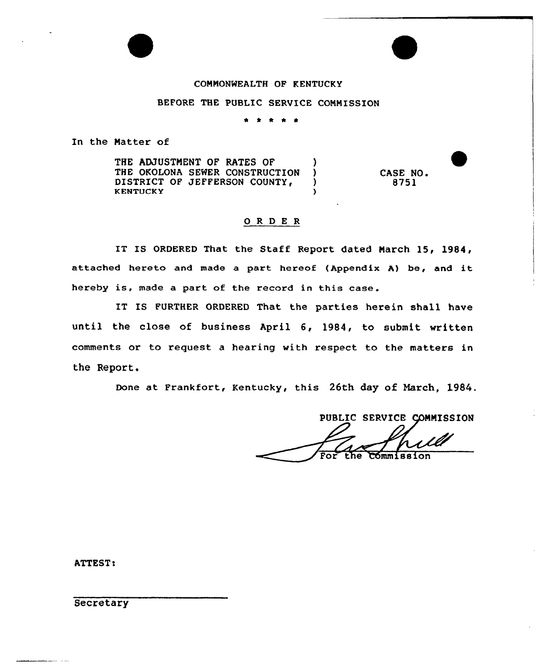## COMMONWEALTH OF KENTUCKY

#### BEFORE THE PUBLIC SERVICE COMMISSION

\* \* \* \* \*

In the Natter of

THE ADJUSTMENT OF RATES OF THE OKOLONA SEWER CONSTRUCTION )<br>DISTRICT OF JEFFERSON COUNTY, DISTRICT OF JEFFERSON COUNTY, KENTUCKY (and a set of the set of the set of the set of the set of the set of the set of the set of the set of the set of the set of the set of the set of the set of the set of the set of the set of the set of the set of t

## O R D E R

IT IS ORDERED That the Staff Report dated March 15, 1984, attached hereto and made a part hereof (Appendix A) be, and it hereby is, made <sup>a</sup> part of the record in this case.

IT IS FURTHER ORDERED That the parties herein shall have until the close of business April 6, 1984, to submit written comments or to request a hearing with respect to the matters in the Report.

Done at Frankfort, Kentucky, this 26th day of Narch, 1984.

PUBLIC SERVICE COMMISSION

CASE NO. 8751

**ATTEST:** 

**Secretary**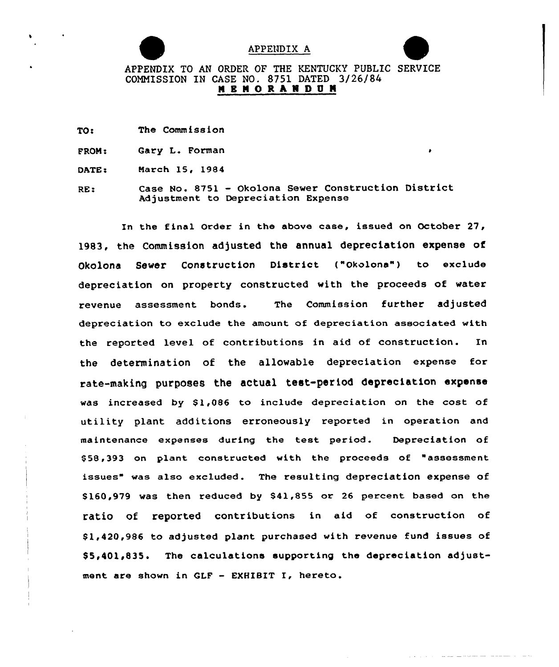

#### APPENDIX A



## APPENDIX TO AN ORDER OF THE KENTUCKY PUBLIC SERVICE COMNISSION IN CASE NO. 8751 DATED 3/26/84 **M E M O R A N D U M**

- TO: The Commission
- PRON: Gary L. Porman
- DATE: Narch 15, 1984
- RE: Case No. 8751 — Okolona Sewer Construction District Adjustment to Depreciation Expense

In the final Order in the above case, issued on October 27, 1983, the Commission adjusted the annual depreciation expense of Okolona Sewer Construction District ("okolona") to exclude depreciation on property constructed with the proceeds of water revenue assessment bonds. The Commission further adjusted depreciation to exclude the amount of depreciation associated with the reported level of contributions in aid of construction. In the determination of the allowable depreciation expense for rate-making purposes the actual test-period depreciation expense was increased by  $$1,086$  to include depreciation on the cost of utility plant additions erroneously reported in operation and maintenance expenses during the test period. Depreciation of \$ 58,393 on plant constructed with the proceeds of "assessment issues" was also excluded. The resulting depreciation expense of \$ 160,979 was then reduced by \$41,855 or 26 percent based on the ratio of reported contributions in aid of construction of 81,420,986 to adjusted plant purchased with revenue fund issues of \$5,401,835. The calculations supporting the depreciation adjustment are shown in QLF — EXHIBIT I, hereto.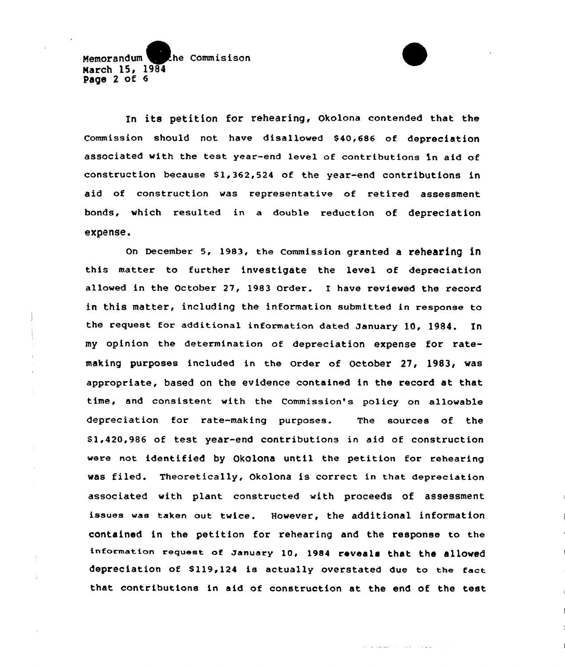## Memorandum the Commisison March 15, 1984 Page <sup>2</sup> of 6

In its petition for rehearing, Okolona contended that the Commission should not have disallowed \$40,686 of depreciation associated with the test year-end level of contributions in aid of construction because Sl,362,524 of the year-end contributions in aid of construction was representative of retired assessment bonds, which resulted in a double reduction of depreciation expense.

On December 5, 1983, the Commission granted a rehearing in this matter to further investigate the level of depreciation allowed in the October 27, 1983 Order. I have reviewed the record in this matter, including the information submitted in response to the request for additional information dated January 10, 1984. In my opinion the determination of depreciation expense for ratemaking purposes included in the order of October 27, 1983, was appropriate, based on the evidence contained in the record at that time, and consistent with the Commission's policy on allowable depreciation for rate-making purposes. The sources of the \$1,420,986 of test year-end contributions in aid of construction were not identified by Okolona until the petition for rehearing was filed. Theoretically, Okolona is correct in that depreciation associated with plant constructed with proceeds of assessment issues was taken out twice. However, the additional information contained in the petition for rehearing and the response to the information request of January 10, 1984 reveals that the allowed depreciation of \$119,124 is actually overstated due to the fact that contributions in aid of construction at the end of the test

الطالع والمستحدث والمستعدد والمتحدث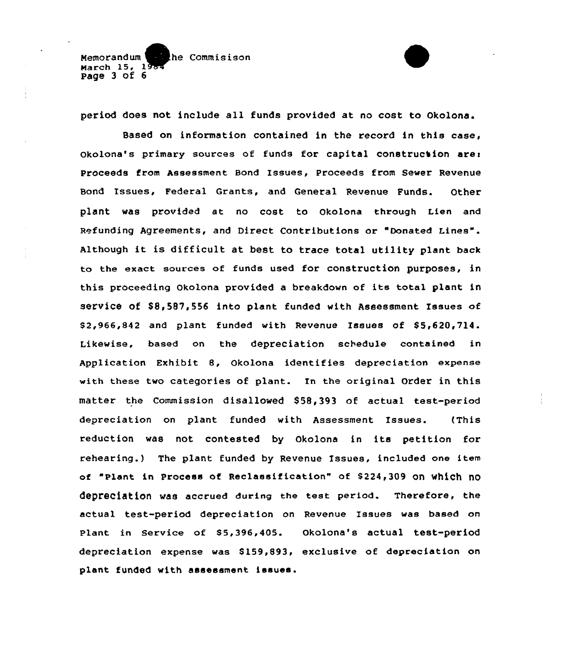Memorandum he Commisison March  $15, 1$ page 3 of 6

period does not include all funds provided at no cost to Okolona.

Based on information contained in the record in this case, okolona's primary sources of funds for capital construction are: proceeds from Assessment Bond Issues, proceeds from Sewer Revenue Bond Issues, Federal Grants, and General Revenue Funds. Other plant was provided at no cost to okolona through Lien and Refunding Agreements, and Direct Contributions or "Donated Lines". Although it is difficult at best to trace total utility plant back to the exact sources of funds used for construction purposes, in this proceeding Okolona provided <sup>a</sup> breakdown of its total plant in service of \$8,587,556 into plant funded with Assessment Issues of  $$2,966,842$  and plant funded with Revenue Issues of  $$5,620,714$ . Likewise, based on the depreciation schedule contained in Application Exhibit 8, Okolona identifies depreciation expense with these two categories af plant. In the original Order in this matter the Commission disallowed 858,393 of actual test-period depreciatian on plant funded with Assessment Issues. (This reduction was not contested by Okalona in its petition for rehearing.) The plant funded by Revenue Issues, included one item of "Plant in Process of Reclassification" of \$224,309 on which no depreciation was accrued during the test period. Therefore, the actual test-period depreciation on Revenue Issues was based an plant in Service of \$5,396,405. Okolona's actual test-period depreciation expense was \$ 159,893, exclusive of depreciation on plant funded with assessment issues.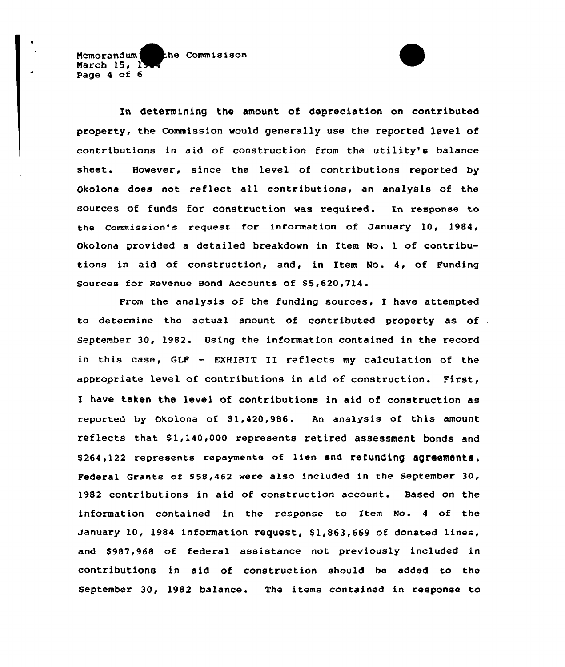Memorandum he Commisison March  $15, 1$ Page 4 of 6

and can be a control.

In determining the amount of depreciation on contributed property, the Commission would generally use the reported level of contributions in aid of construction from the utility's balance sheet. However, since the level of contributions reported by Okolona does not reflect all contributions, an analysis of the sources of funds for construction was required. In response to the Commission's request for information of January 10, 1984, Okolona provided a detailed breakdown in Item No. 1 of contributions in aid of construction, and, in Item No. 4, of Funding Sources for Revenue Bond Accounts of \$5,620,714.

From the analysis of the funding sources, I have attempted to determine the actual amount of contributed property as of September 30, 1982. Using the information contained in the record in this case, GLF - EXHIBIT II reflects my calculation of the appropriate level of contributions in aid of construction. First, I have taken the level of contributions in aid of construction as reported by Okolona of \$1,420,986. An analysis of this amount reflects that \$1,140,000 represents retired assessment bonds and \$ 264,122 represents repayments of lien and refunding agreementa. Federal Grants of \$58,462 were also included in the September 30, 1982 contributions in aid of construction account. Based on the information contained in the response to Item No. <sup>4</sup> of the January 10, 1984 information request, \$1,863,669 of donated lines, and \$987,968 of federal assistance not previously included in contributions in aid of construction should be added to the September 30, 1982 balance. The items contained in response to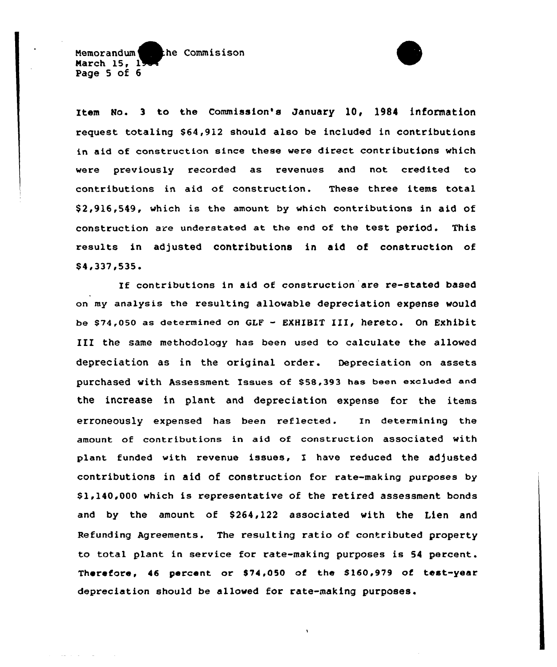Memorandum the Commisison March  $15.1$ Page 5 of 6

Item No. 3 to the Commission's January 10, 1984 information request totaling \$64,912 should also be included in contributions in aid of construction since these were direct contributions which were previously recorded as revenues and not credited to contributions in aid of construction. These three items total \$2,916,549, which is the amount by which contributions in aid of construction are understated at the end of the test period. This results in adjusted contributions in aid of construction of \$4,337,535.

If contributions in aid of construction are re-stated based on my analysis the resulting allowable depreciation expense would be \$74,050 as determined on GLF - EXHIBIT III, hereto. On Exhibit III the same methodology has been used to calculate the allowed depreciation as in the original order. Depreciation on assets purchased with Assessment Issues of \$58,393 has been excluded and the increase in plant and depreciation expense for the items erroneously expensed has been reflected. In determining the amount of contributions in aid of construction associated with plant funded with revenue issues, I have reduced the adjusted contributions in aid of construction for rate-making purposes by \$ 1,140,000 which is representative of the retired assessment bonds and by the amount of \$264,122 associated with the Lien and Refunding Agreements. The resulting ratio of contributed property to total plant in service for rate-making purposes is 54 percent. Therefore, 46 percent or \$74,050 of the \$160,979 of test-year depreciation should be allowed for rate-making purposes.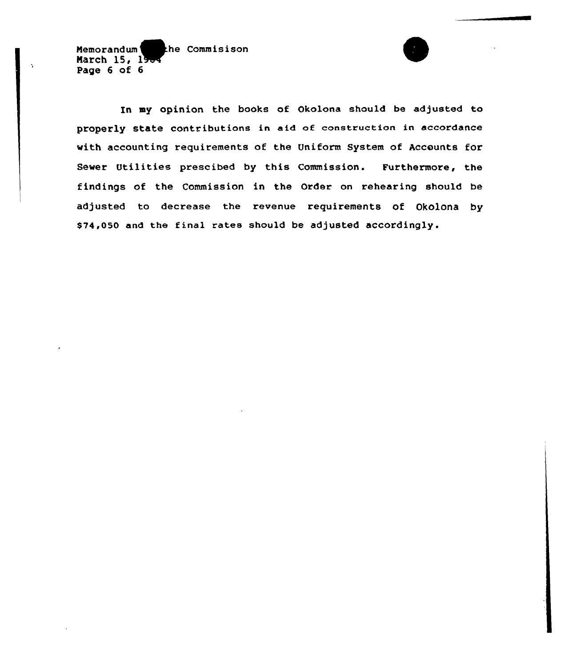$\tilde{\phantom{a}}$ Memorandum the Commisison March 15, 19. Page 6 of 6

In my opinion the books of Okolona should be adjusted to properly state contributions in aid of construction in accordance with accounting requirements of the Uniform System of Accounts for Sewer Utilities prescibed by this Commission. Furthermore, the findings of the Commission in the Order on rehearing should be adjusted to decrease the revenue requirements of Okolona by \$ 74,050 and the final rates should be adjusted accordingly.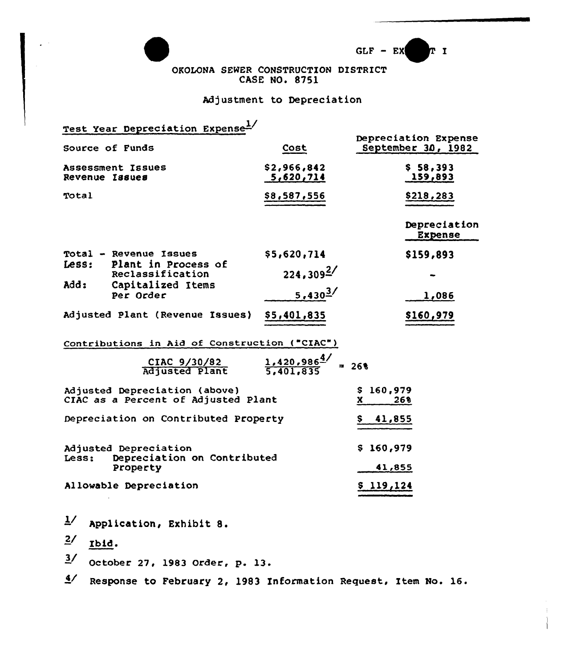



OKOLONA SEWER CONSTRUCTION DISTRICT CASE NO. 8751

# Adjustment to Depreciation

| Test Year Depreciation Expense <sup>1/</sup>                                   |                                               |                                            |  |  |
|--------------------------------------------------------------------------------|-----------------------------------------------|--------------------------------------------|--|--|
| Source of Funds                                                                | Cost                                          | Depreciation Expense<br>September 30, 1982 |  |  |
| Assessment Issues<br>Revenue Issues                                            | \$2,966,842<br>5,620,714                      | \$58,393<br>159,893                        |  |  |
| Total                                                                          | \$8,587,556                                   | \$218,283                                  |  |  |
|                                                                                |                                               | Depreciation<br><b>Expense</b>             |  |  |
| Total - Revenue Issues                                                         | \$5,620,714                                   | \$159,893                                  |  |  |
| Plant in Process of<br>Less:<br>Reclassification                               | $224.309^{27}$                                |                                            |  |  |
| add:<br>Capitalized Items<br>Per Order                                         | 5,430 $3/$                                    | 1,086                                      |  |  |
| Adjusted Plant (Revenue Issues)                                                | \$5,401,835                                   | \$160,979                                  |  |  |
| Contributions in Aid of Construction ("CIAC")                                  |                                               |                                            |  |  |
| CIAC 9/30/82<br>Adjusted Plant                                                 | $\frac{1.420.986^{\underline{4}}}{5.401.835}$ | $= 26$                                     |  |  |
| Adjusted Depreciation (above)<br>CIAC as a Percent of Adjusted Plant           |                                               | \$160,979<br>268<br>X.                     |  |  |
| Depreciation on Contributed Property                                           |                                               | <u>41,855</u><br>Ş.                        |  |  |
| Adjusted Depreciation<br>Depreciation on Contributed<br>Less:                  |                                               | \$160,979                                  |  |  |
| Property                                                                       |                                               | 41,855                                     |  |  |
| Allowable Depreciation                                                         |                                               | \$119,124                                  |  |  |
| $\overline{7}$<br>Application, Exhibit 8.                                      |                                               |                                            |  |  |
| 2/<br>Ibid.                                                                    |                                               |                                            |  |  |
| $\frac{3}{2}$<br>October 27, 1983 Order, p. 13.                                |                                               |                                            |  |  |
| $\mathbf{A}$<br>Response to February 2, 1983 Information Request, Item No. 16. |                                               |                                            |  |  |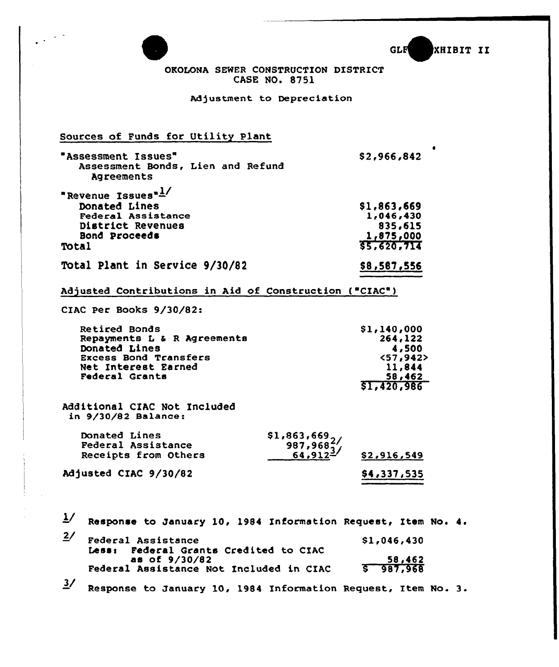|                                                                                                                                        | GLF<br><b>XHIBIT II</b>                                                       |
|----------------------------------------------------------------------------------------------------------------------------------------|-------------------------------------------------------------------------------|
|                                                                                                                                        | OROLONA SEWER CONSTRUCTION DISTRICT<br><b>CASE NO. 8751</b>                   |
|                                                                                                                                        | Adjustment to Depreciation                                                    |
| Sources of Funds for Utility Plant                                                                                                     |                                                                               |
| "Assessment Issues"<br>Assessment Bonds, Lien and Refund<br>Agreements                                                                 | \$2,966,842                                                                   |
| "Revenue Issues"1/<br>Donated Lines<br>Federal Assistance<br>District Revenues<br>Bond Proceeds<br>Total                               | \$1,863,669<br>1,046,430<br>835,615<br>1,875,000<br>55,620,714                |
| Total Plant in Service 9/30/82                                                                                                         | \$8,587,556                                                                   |
| Adjusted Contributions in Aid of Construction ("CIAC")                                                                                 |                                                                               |
| CIAC Per Books 9/30/82:                                                                                                                |                                                                               |
| Retired Bonds<br>Repayments L & R Agreements<br>Donated Lines<br><b>Excess Bond Transfers</b><br>Net Interest Earned<br>Federal Grants | \$1,140,000<br>264,122<br>4,500<br><57,942<br>11,844<br>58,462<br>\$1,420,986 |
| Additional CIAC Not Included<br>in $9/30/82$ Balance:                                                                                  |                                                                               |
| Donated Lines<br><b>Federal Assistance</b><br>Receipts from Others<br>Adjusted CIAC 9/30/82                                            | \$1,863,669,<br>$987,968^{2}$<br>64.912<br>\$2,916,549<br><u>\$4,337,535</u>  |
| $\frac{1}{2}$                                                                                                                          | Response to January 10, 1984 Information Request, Item No. 4.                 |
| 2/<br>Federal Assistance<br>Less: Federal Grants Credited to CIAC                                                                      | \$1,046,430                                                                   |

Federal Grants Credited to CIAC

 $3/$  Response to January 10, 1984 Information Request, Item No. 3.

58,462 987,968

Federal Assistance Not Included in CIAC

 $\frac{2002242}{9/30/8}$